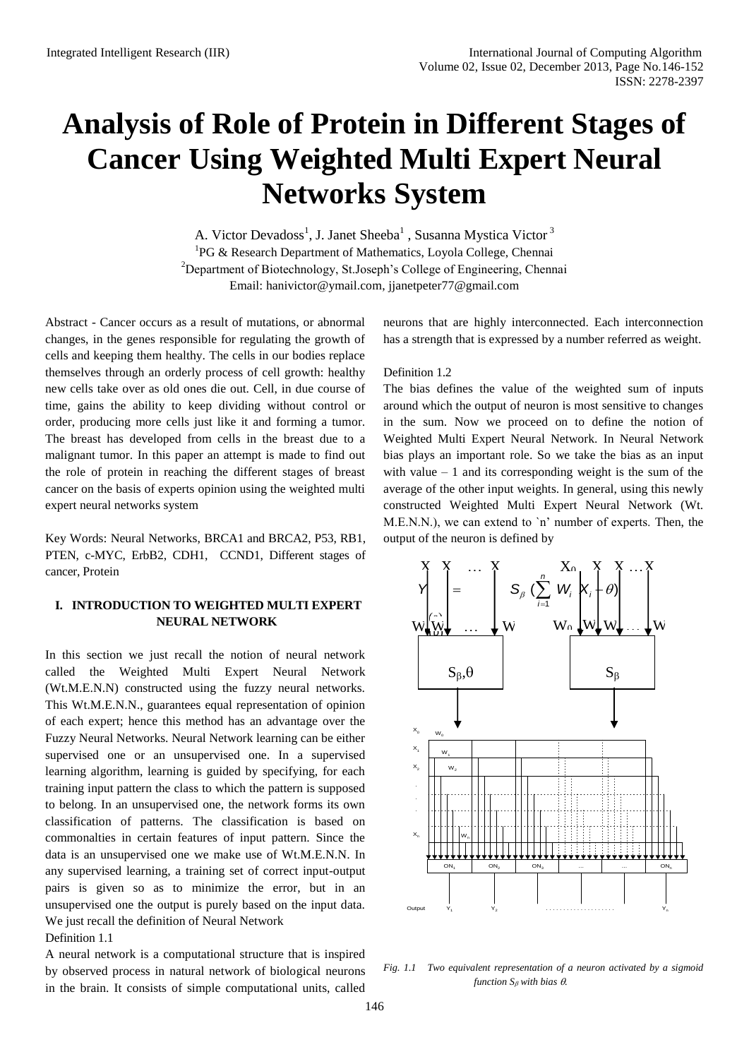# **Analysis of Role of Protein in Different Stages of Cancer Using Weighted Multi Expert Neural Networks System**

A. Victor Devadoss<sup>1</sup>, J. Janet Sheeba<sup>1</sup>, Susanna Mystica Victor<sup>3</sup> <sup>1</sup>PG & Research Department of Mathematics, Loyola College, Chennai <sup>2</sup>Department of Biotechnology, St.Joseph's College of Engineering, Chennai Email: [hanivictor@ymail.com,](mailto:hanivictor@ymail.com) jianetpeter77@gmail.com

Abstract - Cancer occurs as a result of mutations, or abnormal changes, in the genes responsible for regulating the growth of cells and keeping them healthy. The cells in our bodies replace themselves through an orderly process of cell growth: healthy new cells take over as old ones die out. Cell, in due course of time, gains the ability to keep dividing without control or order, producing more cells just like it and forming a tumor. The breast has developed from cells in the breast due to a malignant tumor. In this paper an attempt is made to find out the role of protein in reaching the different stages of breast cancer on the basis of experts opinion using the weighted multi expert neural networks system

Key Words: Neural Networks, BRCA1 and BRCA2, P53, RB1, PTEN, c-MYC, ErbB2, CDH1, CCND1, Different stages of cancer, Protein

## **I. INTRODUCTION TO WEIGHTED MULTI EXPERT NEURAL NETWORK**

In this section we just recall the notion of neural network called the Weighted Multi Expert Neural Network (Wt.M.E.N.N) constructed using the fuzzy neural networks. This Wt.M.E.N.N., guarantees equal representation of opinion of each expert; hence this method has an advantage over the Fuzzy Neural Networks. Neural Network learning can be either supervised one or an unsupervised one. In a supervised learning algorithm, learning is guided by specifying, for each training input pattern the class to which the pattern is supposed to belong. In an unsupervised one, the network forms its own classification of patterns. The classification is based on commonalties in certain features of input pattern. Since the data is an unsupervised one we make use of Wt.M.E.N.N. In any supervised learning, a training set of correct input-output pairs is given so as to minimize the error, but in an unsupervised one the output is purely based on the input data. We just recall the definition of Neural Network Definition 1.1

A neural network is a computational structure that is inspired by observed process in natural network of biological neurons in the brain. It consists of simple computational units, called neurons that are highly interconnected. Each interconnection has a strength that is expressed by a number referred as weight.

## Definition 1.2

The bias defines the value of the weighted sum of inputs around which the output of neuron is most sensitive to changes in the sum. Now we proceed on to define the notion of Weighted Multi Expert Neural Network. In Neural Network bias plays an important role. So we take the bias as an input with value  $-1$  and its corresponding weight is the sum of the average of the other input weights. In general, using this newly constructed Weighted Multi Expert Neural Network (Wt. M.E.N.N.), we can extend to `n' number of experts. Then, the output of the neuron is defined by



*Fig. 1.1 Two equivalent representation of a neuron activated by a sigmoid function*  $S_{\beta}$  *with bias*  $\theta$ .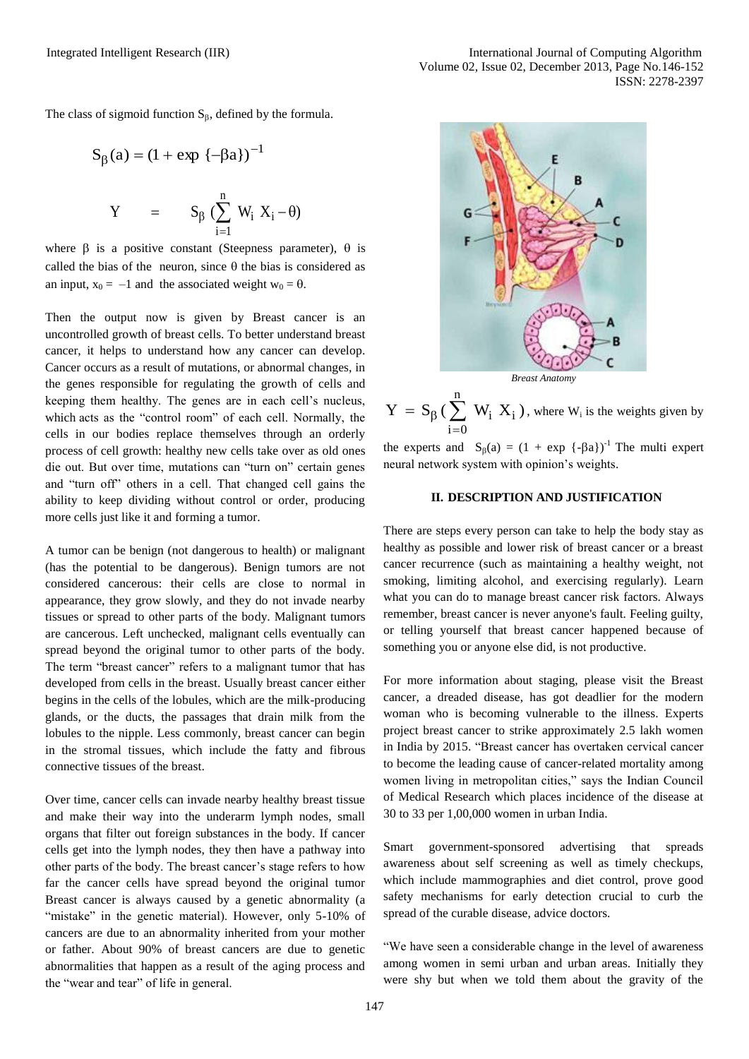The class of sigmoid function  $S_{\beta}$ , defined by the formula.

$$
S_{\beta}(a) = (1 + \exp \{-\beta a\})^{-1}
$$
  
 
$$
Y = S_{\beta} \left(\sum_{i=1}^{n} W_{i} X_{i} - \theta\right)
$$

where  $\beta$  is a positive constant (Steepness parameter),  $\theta$  is called the bias of the neuron, since  $\theta$  the bias is considered as an input,  $x_0 = -1$  and the associated weight  $w_0 = \theta$ .

Then the output now is given by Breast cancer is an uncontrolled growth of breast cells. To better understand breast cancer, it helps to understand how any cancer can develop. Cancer occurs as a result of mutations, or abnormal changes, in the genes responsible for regulating the growth of cells and keeping them healthy. The genes are in each cell's nucleus, which acts as the "control room" of each cell. Normally, the cells in our bodies replace themselves through an orderly process of cell growth: healthy new cells take over as old ones die out. But over time, mutations can "turn on" certain genes and "turn off" others in a cell. That changed cell gains the ability to keep dividing without control or order, producing more cells just like it and forming a tumor.

A tumor can be benign (not dangerous to health) or malignant (has the potential to be dangerous). Benign tumors are not considered cancerous: their cells are close to normal in appearance, they grow slowly, and they do not invade nearby tissues or spread to other parts of the body. Malignant tumors are cancerous. Left unchecked, malignant cells eventually can spread beyond the original tumor to other parts of the body. The term "breast cancer" refers to a malignant tumor that has developed from cells in the breast. Usually breast cancer either begins in the cells of the lobules, which are the milk-producing glands, or the ducts, the passages that drain milk from the lobules to the nipple. Less commonly, breast cancer can begin in the stromal tissues, which include the fatty and fibrous connective tissues of the breast.

Over time, cancer cells can invade nearby healthy breast tissue and make their way into the underarm lymph nodes, small organs that filter out foreign substances in the body. If cancer cells get into the lymph nodes, they then have a pathway into other parts of the body. The breast cancer's stage refers to how far the cancer cells have spread beyond the original tumor Breast cancer is always caused by a genetic abnormality (a "mistake" in the genetic material). However, only 5-10% of cancers are due to an abnormality inherited from your mother or father. About 90% of breast cancers are due to genetic abnormalities that happen as a result of the aging process and the "wear and tear" of life in general.



 $= S_{\beta}(\sum$  $=$ n  $i = 0$  $Y = S_{\beta}$  ( $\sum_{i} W_{i} X_{i}$ ), where  $W_{i}$  is the weights given by

the experts and  $S_\beta(a) = (1 + \exp \{-\beta a\})^{-1}$  The multi expert neural network system with opinion's weights.

### **II. DESCRIPTION AND JUSTIFICATION**

There are steps every person can take to help the body stay as healthy as possible and lower risk of breast cancer or a breast cancer recurrence (such as maintaining a healthy weight, not smoking, limiting alcohol, and exercising regularly). Learn what you can do to manage breast cancer risk factors. Always remember, breast cancer is never anyone's fault. Feeling guilty, or telling yourself that breast cancer happened because of something you or anyone else did, is not productive.

For more information about staging, please visit the Breast cancer, a dreaded disease, has got deadlier for the modern woman who is becoming vulnerable to the illness. Experts project breast cancer to strike approximately 2.5 lakh women in India by 2015. "Breast cancer has overtaken cervical cancer to become the leading cause of cancer-related mortality among women living in metropolitan cities," says the Indian Council of Medical Research which places incidence of the disease at 30 to 33 per 1,00,000 women in urban India.

Smart government-sponsored advertising that spreads awareness about self screening as well as timely checkups, which include mammographies and diet control, prove good safety mechanisms for early detection crucial to curb the spread of the curable disease, advice doctors.

"We have seen a considerable change in the level of awareness among women in semi urban and urban areas. Initially they were shy but when we told them about the gravity of the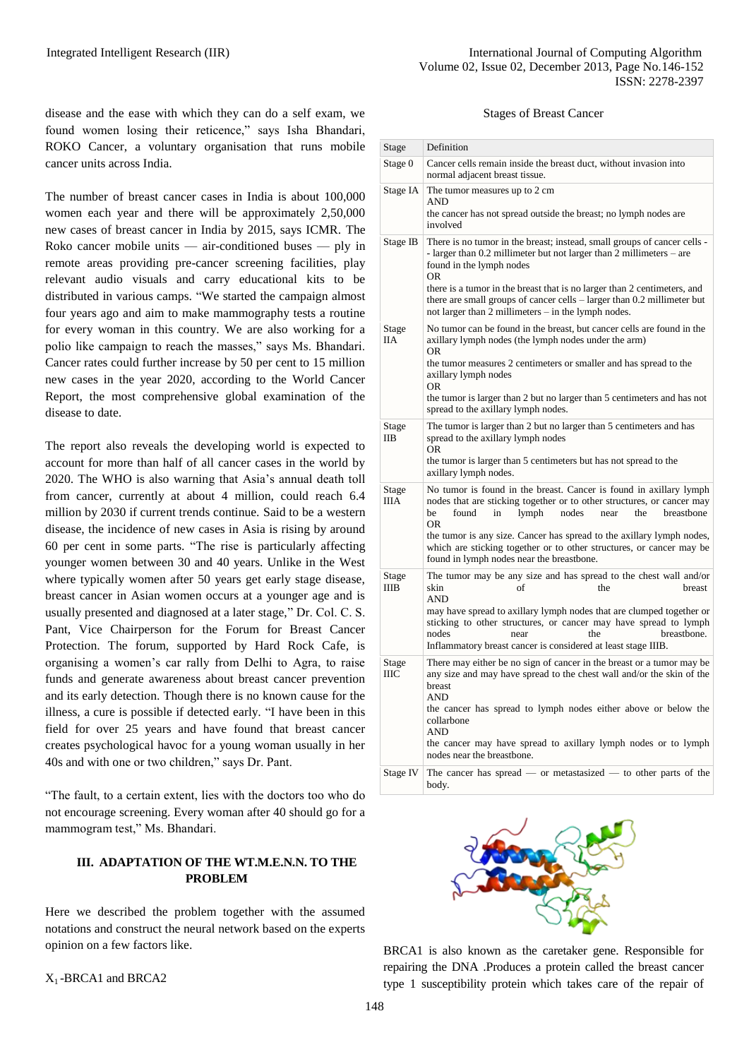disease and the ease with which they can do a self exam, we found women losing their reticence," says Isha Bhandari, ROKO Cancer, a voluntary organisation that runs mobile cancer units across India.

The number of breast cancer cases in India is about 100,000 women each year and there will be approximately 2,50,000 new cases of breast cancer in India by 2015, says ICMR. The Roko cancer mobile units — air-conditioned buses — ply in remote areas providing pre-cancer screening facilities, play relevant audio visuals and carry educational kits to be distributed in various camps. "We started the campaign almost four years ago and aim to make mammography tests a routine for every woman in this country. We are also working for a polio like campaign to reach the masses," says Ms. Bhandari. Cancer rates could further increase by 50 per cent to 15 million new cases in the year 2020, according to the World Cancer Report, the most comprehensive global examination of the disease to date.

The report also reveals the developing world is expected to account for more than half of all cancer cases in the world by 2020. The WHO is also warning that Asia's annual death toll from cancer, currently at about 4 million, could reach 6.4 million by 2030 if current trends continue. Said to be a western disease, the incidence of new cases in Asia is rising by around 60 per cent in some parts. "The rise is particularly affecting younger women between 30 and 40 years. Unlike in the West where typically women after 50 years get early stage disease, breast cancer in Asian women occurs at a younger age and is usually presented and diagnosed at a later stage," Dr. Col. C. S. Pant, Vice Chairperson for the Forum for Breast Cancer Protection. The forum, supported by Hard Rock Cafe, is organising a women's car rally from Delhi to Agra, to raise funds and generate awareness about breast cancer prevention and its early detection. Though there is no known cause for the illness, a cure is possible if detected early. "I have been in this field for over 25 years and have found that breast cancer creates psychological havoc for a young woman usually in her 40s and with one or two children," says Dr. Pant.

"The fault, to a certain extent, lies with the doctors too who do not encourage screening. Every woman after 40 should go for a mammogram test," Ms. Bhandari.

# **III. ADAPTATION OF THE WT.M.E.N.N. TO THE PROBLEM**

Here we described the problem together with the assumed notations and construct the neural network based on the experts opinion on a few factors like.

X1 -BRCA1 and BRCA2

#### Stages of Breast Cancer

| Stage                | Definition                                                                                                                                                                                                                                                                                                                                                                                                                  |
|----------------------|-----------------------------------------------------------------------------------------------------------------------------------------------------------------------------------------------------------------------------------------------------------------------------------------------------------------------------------------------------------------------------------------------------------------------------|
| Stage 0              | Cancer cells remain inside the breast duct, without invasion into<br>normal adjacent breast tissue.                                                                                                                                                                                                                                                                                                                         |
| Stage IA             | The tumor measures up to 2 cm<br><b>AND</b><br>the cancer has not spread outside the breast; no lymph nodes are<br>involved                                                                                                                                                                                                                                                                                                 |
| Stage IB             | There is no tumor in the breast; instead, small groups of cancer cells -<br>- larger than 0.2 millimeter but not larger than 2 millimeters - are<br>found in the lymph nodes<br><b>OR</b><br>there is a tumor in the breast that is no larger than 2 centimeters, and<br>there are small groups of cancer cells – larger than 0.2 millimeter but<br>not larger than 2 millimeters - in the lymph nodes.                     |
| Stage<br><b>IIA</b>  | No tumor can be found in the breast, but cancer cells are found in the<br>axillary lymph nodes (the lymph nodes under the arm)<br><b>OR</b>                                                                                                                                                                                                                                                                                 |
|                      | the tumor measures 2 centimeters or smaller and has spread to the<br>axillary lymph nodes<br><b>OR</b><br>the tumor is larger than 2 but no larger than 5 centimeters and has not<br>spread to the axillary lymph nodes.                                                                                                                                                                                                    |
| Stage<br><b>IIB</b>  | The tumor is larger than 2 but no larger than 5 centimeters and has<br>spread to the axillary lymph nodes<br>OR.<br>the tumor is larger than 5 centimeters but has not spread to the<br>axillary lymph nodes.                                                                                                                                                                                                               |
| Stage<br><b>IIIA</b> | No tumor is found in the breast. Cancer is found in axillary lymph<br>nodes that are sticking together or to other structures, or cancer may<br>lymph<br>found<br>nodes<br>the<br>breastbone<br>be<br>in<br>near<br><b>OR</b><br>the tumor is any size. Cancer has spread to the axillary lymph nodes,<br>which are sticking together or to other structures, or cancer may be<br>found in lymph nodes near the breastbone. |
| Stage<br><b>IIIB</b> | The tumor may be any size and has spread to the chest wall and/or<br>skin<br>of<br>the<br>breast<br><b>AND</b><br>may have spread to axillary lymph nodes that are clumped together or<br>sticking to other structures, or cancer may have spread to lymph<br>breastbone.<br>nodes<br>near<br>the<br>Inflammatory breast cancer is considered at least stage IIIB.                                                          |
| Stage<br>ШC          | There may either be no sign of cancer in the breast or a tumor may be<br>any size and may have spread to the chest wall and/or the skin of the<br>breast<br><b>AND</b><br>the cancer has spread to lymph nodes either above or below the<br>collarbone<br><b>AND</b><br>the cancer may have spread to axillary lymph nodes or to lymph<br>nodes near the breastbone.                                                        |
| Stage IV             | The cancer has spread — or metastasized — to other parts of the<br>body.                                                                                                                                                                                                                                                                                                                                                    |



BRCA1 is also known as the caretaker gene. Responsible for repairing the DNA .Produces a protein called the breast cancer type 1 susceptibility protein which takes care of the repair of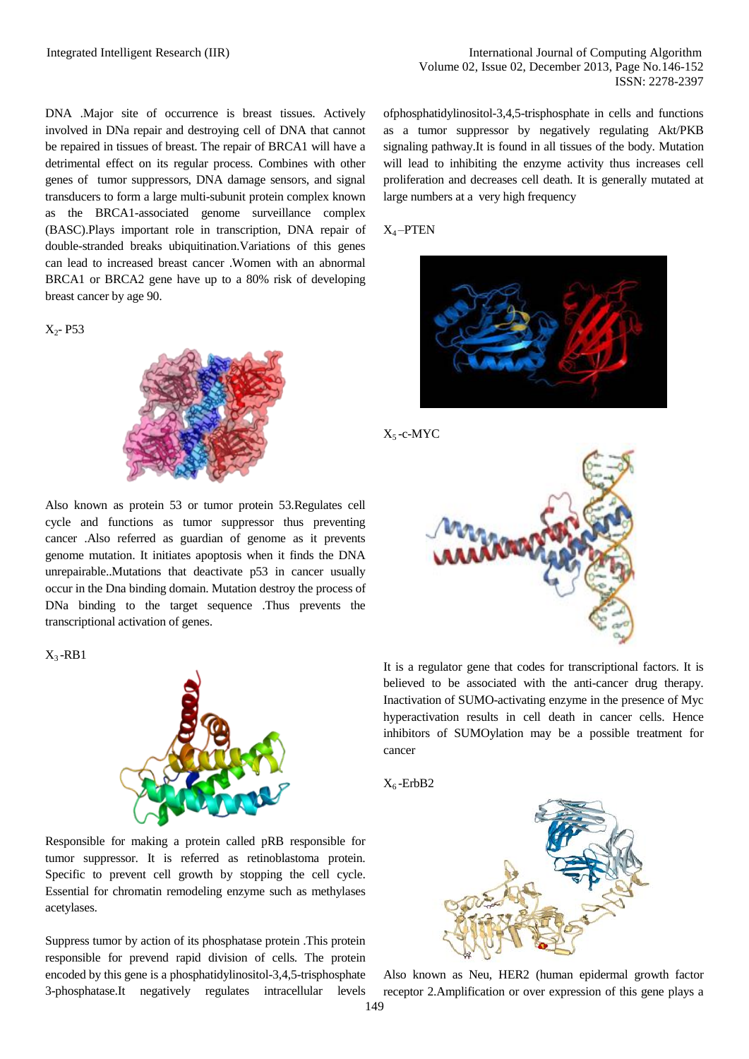DNA .Major site of occurrence is breast tissues. Actively involved in DNa repair and destroying cell of DNA that cannot be repaired in tissues of breast. The repair of BRCA1 will have a detrimental effect on its regular process. Combines with other genes of tumor suppressors, DNA damage sensors, and signal transducers to form a large multi-subunit protein complex known as the BRCA1-associated genome surveillance complex (BASC).Plays important role in transcription, DNA repair of double-stranded breaks ubiquitination.Variations of this genes can lead to increased breast cancer .Women with an abnormal BRCA1 or BRCA2 gene have up to a 80% risk of developing breast cancer by age 90.

 $X_2 - P53$ 



Also known as protein 53 or tumor protein 53.Regulates cell cycle and functions as tumor suppressor thus preventing cancer .Also referred as guardian of genome as it prevents genome mutation. It initiates apoptosis when it finds the DNA unrepairable..Mutations that deactivate p53 in cancer usually occur in the Dna binding domain. Mutation destroy the process of DNa binding to the target sequence .Thus prevents the transcriptional activation of genes.

#### $X_3$ -RB1



Responsible for making a protein called pRB responsible for tumor suppressor. It is referred as retinoblastoma protein. Specific to prevent cell growth by stopping the cell cycle. Essential for chromatin remodeling enzyme such as methylases acetylases.

Suppress tumor by action of its phosphatase protein .This protein responsible for prevend rapid division of cells. The protein encoded by this gene is a phosphatidylinositol-3,4,5-trisphosphate 3-phosphatase.It negatively regulates intracellular levels ofphosphatidylinositol-3,4,5-trisphosphate in cells and functions as a tumor suppressor by negatively regulating Akt/PKB signaling pathway.It is found in all tissues of the body. Mutation will lead to inhibiting the enzyme activity thus increases cell proliferation and decreases cell death. It is generally mutated at large numbers at a very high frequency

#### X4 –PTEN







It is a regulator gene that codes for transcriptional factors. It is believed to be associated with the anti-cancer drug therapy. Inactivation of SUMO-activating enzyme in the presence of Myc hyperactivation results in cell death in cancer cells. Hence inhibitors of SUMOylation may be a possible treatment for cancer





Also known as Neu, HER2 (human epidermal growth factor receptor 2.Amplification or over expression of this gene plays a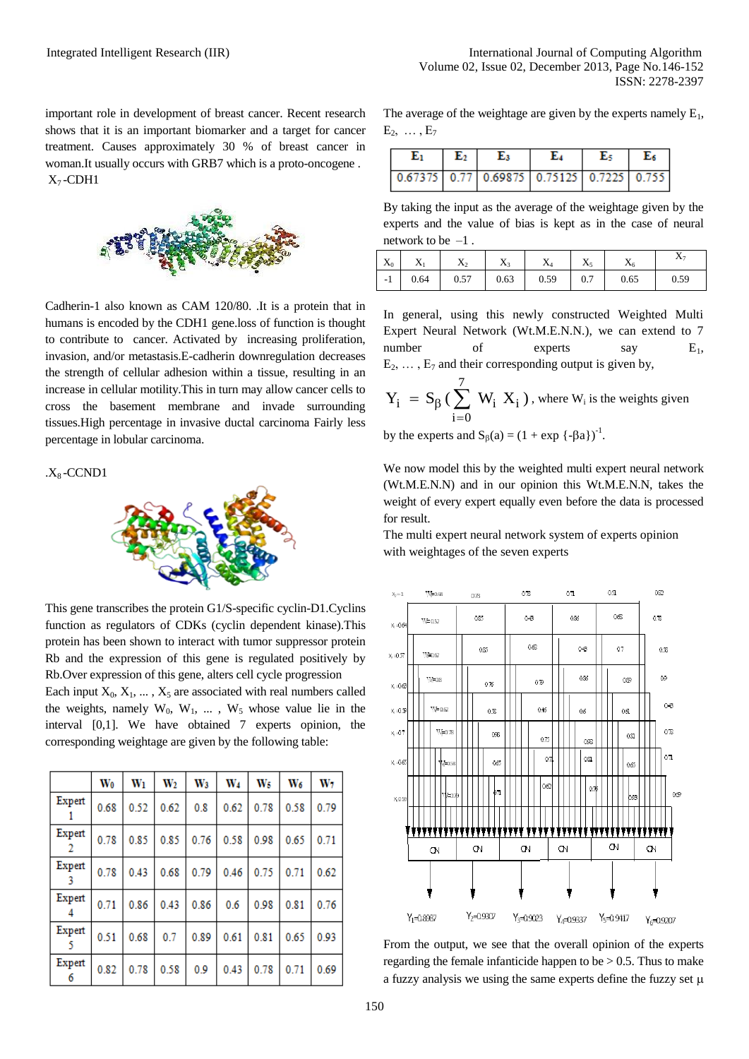important role in development of breast cancer. Recent research shows that it is an important biomarker and a target for cancer treatment. Causes approximately 30 % of breast cancer in woman.It usually occurs with GRB7 which is a proto-oncogene .  $X_7$ -CDH1



Cadherin-1 also known as CAM 120/80. .It is a protein that in humans is encoded by the CDH1 gene.loss of function is thought to contribute to cancer. Activated by increasing proliferation, invasion, and/or metastasis.E-cadherin downregulation decreases the strength of cellular adhesion within a tissue, resulting in an increase in cellular motility.This in turn may allow cancer cells to cross the basement membrane and invade surrounding tissues.High percentage in invasive ductal carcinoma Fairly less percentage in lobular carcinoma.

 $.X_8$ -CCND1



This gene transcribes the protein G1/S-specific cyclin-D1.Cyclins function as regulators of CDKs (cyclin dependent kinase).This protein has been shown to interact with tumor suppressor protein Rb and the expression of this gene is regulated positively by Rb.Over expression of this gene, alters cell cycle progression Each input  $X_0, X_1, \ldots, X_5$  are associated with real numbers called the weights, namely  $W_0$ ,  $W_1$ , ...,  $W_5$  whose value lie in the interval [0,1]. We have obtained 7 experts opinion, the corresponding weightage are given by the following table:

|             | $\mathbf{W_0}$ | $W_1$ | $\rm W_2$ | W <sub>3</sub> | $W_4$ | W <sub>5</sub> | W6   | W7   |
|-------------|----------------|-------|-----------|----------------|-------|----------------|------|------|
| Expert      | 0.68           | 0.52  | 0.62      | 0.8            | 0.62  | 0.78           | 0.58 | 0.79 |
| Expert<br>2 | 0.78           | 0.85  | 0.85      | 0.76           | 0.58  | 0.98           | 0.65 | 0.71 |
| Expert<br>3 | 0.78           | 0.43  | 0.68      | 0.79           | 0.46  | 0.75           | 0.71 | 0.62 |
| Expert      | 0.71           | 0.86  | 0.43      | 0.86           | 0.6   | 0.98           | 0.81 | 0.76 |
| Expert      | 0.51           | 0.68  | 0.7       | 0.89           | 0.61  | 0.81           | 0.65 | 0.93 |
| Expert      | 0.82           | 0.78  | 0.58      | 0.9            | 0.43  | 0.78           | 0.71 | 0.69 |

The average of the weightage are given by the experts namely  $E_1$ ,  $E_2, \ldots, E_7$ 

| E1.                                                                                                   | $E_2$ | Eз | E4 | $E_5$   $E_6$ |
|-------------------------------------------------------------------------------------------------------|-------|----|----|---------------|
| $\boxed{0.67375}$ $\boxed{0.77}$ $\boxed{0.69875}$ $\boxed{0.75125}$ $\boxed{0.7225}$ $\boxed{0.755}$ |       |    |    |               |

By taking the input as the average of the weightage given by the experts and the value of bias is kept as in the case of neural network to be  $-1$ .

| $X_0$ $X_1$ | $X_2$                    | $X_3$ | $X_4$   . | $X_5$ |      |      |
|-------------|--------------------------|-------|-----------|-------|------|------|
|             | $-1$ 0.64 0.57 0.63 0.59 |       |           | 0.7   | 0.65 | 0.59 |

In general, using this newly constructed Weighted Multi Expert Neural Network (Wt.M.E.N.N.), we can extend to 7 number of experts say  $E_1$ ,  $E_2, \ldots, E_7$  and their corresponding output is given by,

$$
Y_i = S_{\beta} \left( \sum_{i=0}^{7} W_i X_i \right)
$$
, where  $W_i$  is the weights given

by the experts and  $S_\beta(a) = (1 + \exp \{-\beta a\})^{-1}$ .

We now model this by the weighted multi expert neural network (Wt.M.E.N.N) and in our opinion this Wt.M.E.N.N, takes the weight of every expert equally even before the data is processed for result.

The multi expert neural network system of experts opinion with weightages of the seven experts



From the output, we see that the overall opinion of the experts regarding the female infanticide happen to be  $> 0.5$ . Thus to make a fuzzy analysis we using the same experts define the fuzzy set  $\mu$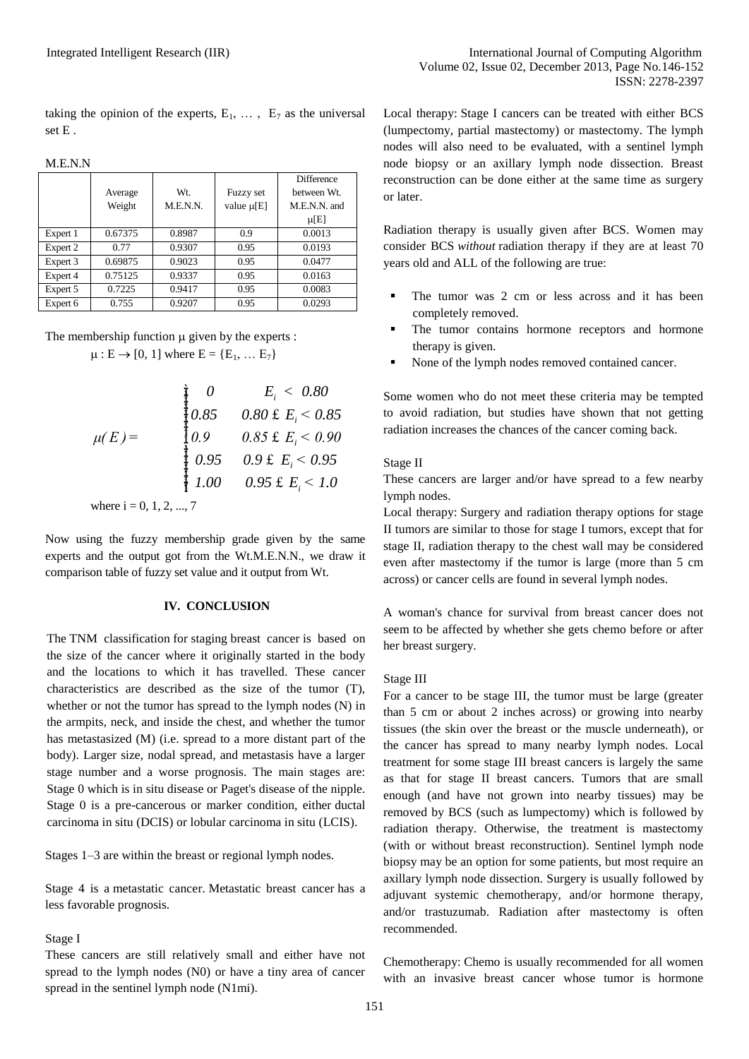taking the opinion of the experts,  $E_1$ ,  $\ldots$ ,  $E_7$  as the universal set E .

M.E.N.N

|          |         |          |                  | <b>Difference</b> |
|----------|---------|----------|------------------|-------------------|
|          | Average | Wt.      | <b>Fuzzy set</b> | between Wt.       |
|          | Weight  | M.E.N.N. | value $\mu[E]$   | M.E.N.N. and      |
|          |         |          |                  | $\mu$ [E]         |
| Expert 1 | 0.67375 | 0.8987   | 0.9              | 0.0013            |
| Expert 2 | 0.77    | 0.9307   | 0.95             | 0.0193            |
| Expert 3 | 0.69875 | 0.9023   | 0.95             | 0.0477            |
| Expert 4 | 0.75125 | 0.9337   | 0.95             | 0.0163            |
| Expert 5 | 0.7225  | 0.9417   | 0.95             | 0.0083            |
| Expert 6 | 0.755   | 0.9207   | 0.95             | 0.0293            |

The membership function  $\mu$  given by the experts :  $\mu : E \to [0, 1]$  where  $E = \{E_1, \dots E_7\}$ 

$$
\mu(E) = \begin{cases}\n0 & E_i < 0.80 \\
0.85 & 0.80 \text{ E } E_i < 0.85 \\
0.9 & 0.85 \text{ E } E_i < 0.90 \\
0.95 & 0.9 \text{ E } E_i < 0.95 \\
1.00 & 0.95 \text{ E } E_i < 1.0\n\end{cases}
$$
\nwhere i = 0, 1, 2, ..., 7

Now using the fuzzy membership grade given by the same experts and the output got from the Wt.M.E.N.N., we draw it comparison table of fuzzy set value and it output from Wt.

#### **IV. CONCLUSION**

The TNM classification for [staging](http://en.wikipedia.org/wiki/Cancer_staging) [breast cancer](http://en.wikipedia.org/wiki/Breast_cancer_classification#Staging) is based on the size of the cancer where it originally started in the body and the locations to which it has travelled. These cancer characteristics are described as the size of the tumor (T), whether or not the tumor has spread to the lymph nodes (N) in the armpits, neck, and inside the chest, and whether the tumor has metastasized (M) (i.e. spread to a more distant part of the body). Larger size, nodal spread, and metastasis have a larger stage number and a worse prognosis. The main stages are: Stage 0 which is in situ disease or Paget's disease of the nipple. Stage 0 is a pre-cancerous or marker condition, either ductal carcinoma in situ (DCIS) or lobular carcinoma in situ (LCIS).

Stages 1–3 are within the breast or regional lymph nodes.

Stage 4 is a [metastatic cancer.](http://en.wikipedia.org/wiki/Metastasis) Metastatic breast cancer has a less favorable prognosis.

#### Stage I

These cancers are still relatively small and either have not spread to the lymph nodes (N0) or have a tiny area of cancer spread in the sentinel lymph node (N1mi).

Local therapy: Stage I cancers can be treated with either BCS (lumpectomy, partial mastectomy) or mastectomy. The lymph nodes will also need to be evaluated, with a sentinel lymph node biopsy or an axillary lymph node dissection. Breast reconstruction can be done either at the same time as surgery or later.

Radiation therapy is usually given after BCS. Women may consider BCS *without* radiation therapy if they are at least 70 years old and ALL of the following are true:

- The tumor was 2 cm or less across and it has been completely removed.
- The tumor contains hormone receptors and hormone therapy is given.
- None of the lymph nodes removed contained cancer.

Some women who do not meet these criteria may be tempted to avoid radiation, but studies have shown that not getting radiation increases the chances of the cancer coming back.

#### Stage II

These cancers are larger and/or have spread to a few nearby lymph nodes.

Local therapy: Surgery and radiation therapy options for stage II tumors are similar to those for stage I tumors, except that for stage II, radiation therapy to the chest wall may be considered even after mastectomy if the tumor is large (more than 5 cm across) or cancer cells are found in several lymph nodes.

A woman's chance for survival from breast cancer does not seem to be affected by whether she gets chemo before or after her breast surgery.

#### Stage III

For a cancer to be stage III, the tumor must be large (greater than 5 cm or about 2 inches across) or growing into nearby tissues (the skin over the breast or the muscle underneath), or the cancer has spread to many nearby lymph nodes. Local treatment for some stage III breast cancers is largely the same as that for stage II breast cancers. Tumors that are small enough (and have not grown into nearby tissues) may be removed by BCS (such as lumpectomy) which is followed by radiation therapy. Otherwise, the treatment is mastectomy (with or without breast reconstruction). Sentinel lymph node biopsy may be an option for some patients, but most require an axillary lymph node dissection. Surgery is usually followed by adjuvant systemic chemotherapy, and/or hormone therapy, and/or trastuzumab. Radiation after mastectomy is often recommended.

Chemotherapy: Chemo is usually recommended for all women with an invasive breast cancer whose tumor is hormone